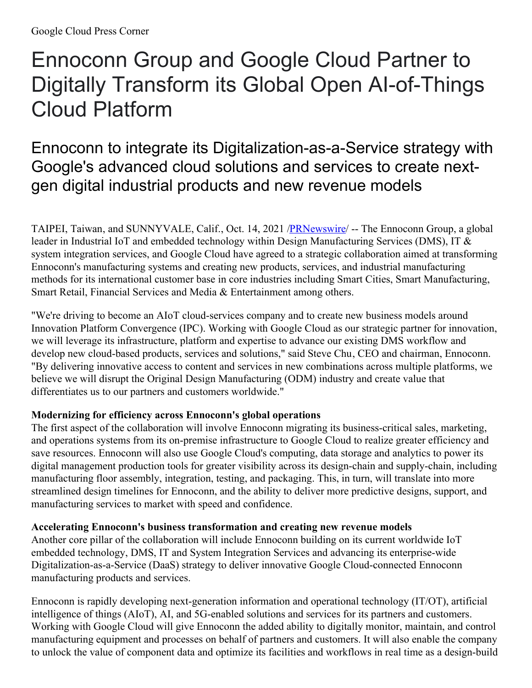# Ennoconn Group and Google Cloud Partner to Digitally Transform its Global Open AI-of-Things Cloud Platform

## Ennoconn to integrate its Digitalization-as-a-Service strategy with Google's advanced cloud solutions and services to create nextgen digital industrial products and new revenue models

TAIPEI, Taiwan, and SUNNYVALE, Calif., Oct. 14, 2021 [/PRNewswire](http://www.prnewswire.com/)/ -- The Ennoconn Group, a global leader in Industrial IoT and embedded technology within Design Manufacturing Services (DMS), IT & system integration services, and Google Cloud have agreed to a strategic collaboration aimed at transforming Ennoconn's manufacturing systems and creating new products, services, and industrial manufacturing methods for its international customer base in core industries including Smart Cities, Smart Manufacturing, Smart Retail, Financial Services and Media & Entertainment among others.

"We're driving to become an AIoT cloud-services company and to create new business models around Innovation Platform Convergence (IPC). Working with Google Cloud as our strategic partner for innovation, we will leverage its infrastructure, platform and expertise to advance our existing DMS workflow and develop new cloud-based products, services and solutions," said Steve Chu, CEO and chairman, Ennoconn. "By delivering innovative access to content and services in new combinations across multiple platforms, we believe we will disrupt the Original Design Manufacturing (ODM) industry and create value that differentiates us to our partners and customers worldwide."

### **Modernizing for efficiency across Ennoconn's global operations**

The first aspect of the collaboration will involve Ennoconn migrating its business-critical sales, marketing, and operations systems from its on-premise infrastructure to Google Cloud to realize greater efficiency and save resources. Ennoconn will also use Google Cloud's computing, data storage and analytics to power its digital management production tools for greater visibility across its design-chain and supply-chain, including manufacturing floor assembly, integration, testing, and packaging. This, in turn, will translate into more streamlined design timelines for Ennoconn, and the ability to deliver more predictive designs, support, and manufacturing services to market with speed and confidence.

#### **Accelerating Ennoconn's business transformation and creating new revenue models**

Another core pillar of the collaboration will include Ennoconn building on its current worldwide IoT embedded technology, DMS, IT and System Integration Services and advancing its enterprise-wide Digitalization-as-a-Service (DaaS) strategy to deliver innovative Google Cloud-connected Ennoconn manufacturing products and services.

Ennoconn is rapidly developing next-generation information and operational technology (IT/OT), artificial intelligence of things (AIoT), AI, and 5G-enabled solutions and services for its partners and customers. Working with Google Cloud will give Ennoconn the added ability to digitally monitor, maintain, and control manufacturing equipment and processes on behalf of partners and customers. It will also enable the company to unlock the value of component data and optimize its facilities and workflows in real time as a design-build